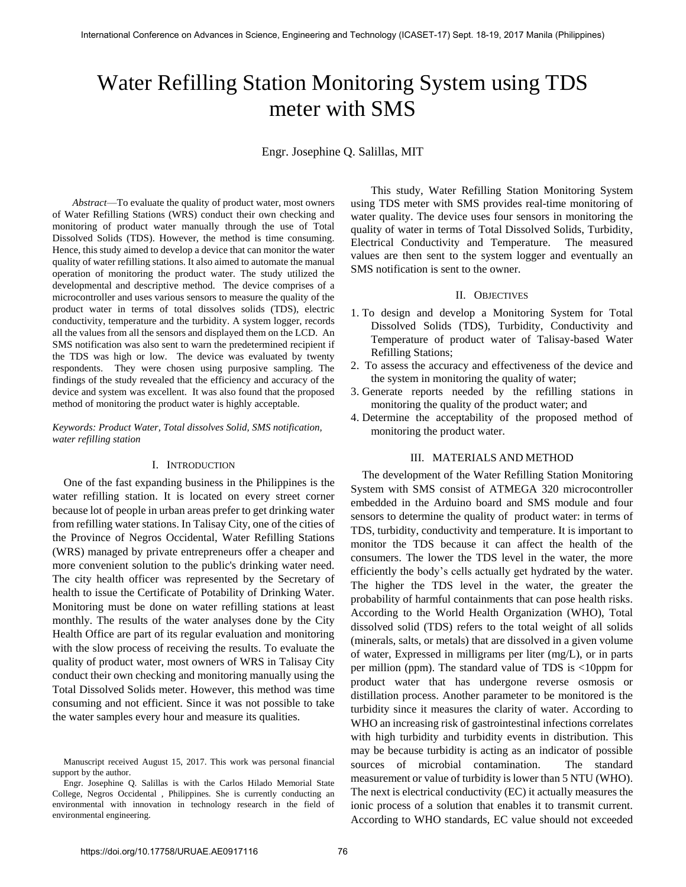# Water Refilling Station Monitoring System using TDS meter with SMS

Engr. Josephine Q. Salillas, MIT

*Abstract*—To evaluate the quality of product water, most owners of Water Refilling Stations (WRS) conduct their own checking and monitoring of product water manually through the use of Total Dissolved Solids (TDS). However, the method is time consuming. Hence, this study aimed to develop a device that can monitor the water quality of water refilling stations. It also aimed to automate the manual operation of monitoring the product water. The study utilized the developmental and descriptive method. The device comprises of a microcontroller and uses various sensors to measure the quality of the product water in terms of total dissolves solids (TDS), electric conductivity, temperature and the turbidity. A system logger, records all the values from all the sensors and displayed them on the LCD. An SMS notification was also sent to warn the predetermined recipient if the TDS was high or low. The device was evaluated by twenty respondents. They were chosen using purposive sampling. The findings of the study revealed that the efficiency and accuracy of the device and system was excellent. It was also found that the proposed method of monitoring the product water is highly acceptable.

*Keywords: Product Water, Total dissolves Solid, SMS notification, water refilling station*

#### I. INTRODUCTION

One of the fast expanding business in the Philippines is the water refilling station. It is located on every street corner because lot of people in urban areas prefer to get drinking water from refilling water stations. In Talisay City, one of the cities of the Province of Negros Occidental, Water Refilling Stations (WRS) managed by private entrepreneurs offer a cheaper and more convenient solution to the public's drinking water need. The city health officer was represented by the Secretary of health to issue the Certificate of Potability of Drinking Water. Monitoring must be done on water refilling stations at least monthly. The results of the water analyses done by the City Health Office are part of its regular evaluation and monitoring with the slow process of receiving the results. To evaluate the quality of product water, most owners of WRS in Talisay City conduct their own checking and monitoring manually using the Total Dissolved Solids meter. However, this method was time consuming and not efficient. Since it was not possible to take the water samples every hour and measure its qualities.

This study, Water Refilling Station Monitoring System using TDS meter with SMS provides real-time monitoring of water quality. The device uses four sensors in monitoring the quality of water in terms of Total Dissolved Solids, Turbidity, Electrical Conductivity and Temperature. The measured values are then sent to the system logger and eventually an SMS notification is sent to the owner.

#### II. OBJECTIVES

- 1. To design and develop a Monitoring System for Total Dissolved Solids (TDS), Turbidity, Conductivity and Temperature of product water of Talisay-based Water Refilling Stations;
- 2. To assess the accuracy and effectiveness of the device and the system in monitoring the quality of water;
- 3. Generate reports needed by the refilling stations in monitoring the quality of the product water; and
- 4. Determine the acceptability of the proposed method of monitoring the product water.

### III. MATERIALS AND METHOD

The development of the Water Refilling Station Monitoring System with SMS consist of ATMEGA 320 microcontroller embedded in the Arduino board and SMS module and four sensors to determine the quality of product water: in terms of TDS, turbidity, conductivity and temperature. It is important to monitor the TDS because it can affect the health of the consumers. The lower the TDS level in the water, the more efficiently the body's cells actually get hydrated by the water. The higher the TDS level in the water, the greater the probability of harmful containments that can pose health risks. According to the World Health Organization (WHO), Total dissolved solid (TDS) refers to the total weight of all solids (minerals, salts, or metals) that are dissolved in a given volume of water, Expressed in milligrams per liter (mg/L), or in parts per million (ppm). The standard value of TDS is <10ppm for product water that has undergone reverse osmosis or distillation process. Another parameter to be monitored is the turbidity since it measures the clarity of water. According to WHO an increasing risk of gastrointestinal infections correlates with high turbidity and turbidity events in distribution. This may be because turbidity is acting as an indicator of possible sources of microbial contamination. The standard measurement or value of turbidity is lower than 5 NTU (WHO). The next is electrical conductivity (EC) it actually measures the ionic process of a solution that enables it to transmit current. According to WHO standards, EC value should not exceeded

Manuscript received August 15, 2017. This work was personal financial support by the author.

Engr. Josephine Q. Salillas is with the Carlos Hilado Memorial State College, Negros Occidental , Philippines. She is currently conducting an environmental with innovation in technology research in the field of environmental engineering.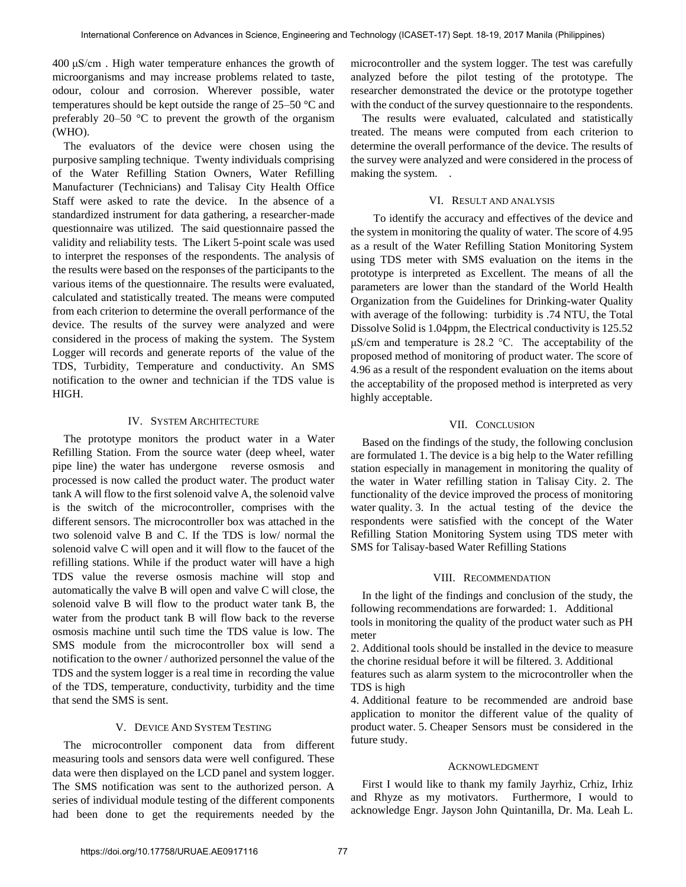400 μS/cm . High water temperature enhances the growth of microorganisms and may increase problems related to taste, odour, colour and corrosion. Wherever possible, water temperatures should be kept outside the range of 25–50 °C and preferably 20–50  $\degree$ C to prevent the growth of the organism (WHO).

The evaluators of the device were chosen using the purposive sampling technique. Twenty individuals comprising of the Water Refilling Station Owners, Water Refilling Manufacturer (Technicians) and Talisay City Health Office Staff were asked to rate the device. In the absence of a standardized instrument for data gathering, a researcher-made questionnaire was utilized. The said questionnaire passed the validity and reliability tests. The Likert 5-point scale was used to interpret the responses of the respondents. The analysis of the results were based on the responses of the participants to the various items of the questionnaire. The results were evaluated, calculated and statistically treated. The means were computed from each criterion to determine the overall performance of the device. The results of the survey were analyzed and were considered in the process of making the system. The System Logger will records and generate reports of the value of the TDS, Turbidity, Temperature and conductivity. An SMS notification to the owner and technician if the TDS value is HIGH.

#### IV. SYSTEM ARCHITECTURE

The prototype monitors the product water in a Water Refilling Station. From the source water (deep wheel, water pipe line) the water has undergone reverse osmosis and processed is now called the product water. The product water tank A will flow to the first solenoid valve A, the solenoid valve is the switch of the microcontroller, comprises with the different sensors. The microcontroller box was attached in the two solenoid valve B and C. If the TDS is low/ normal the solenoid valve C will open and it will flow to the faucet of the refilling stations. While if the product water will have a high TDS value the reverse osmosis machine will stop and automatically the valve B will open and valve C will close, the solenoid valve B will flow to the product water tank B, the water from the product tank B will flow back to the reverse osmosis machine until such time the TDS value is low. The SMS module from the microcontroller box will send a notification to the owner / authorized personnel the value of the TDS and the system logger is a real time in recording the value of the TDS, temperature, conductivity, turbidity and the time that send the SMS is sent.

# V. DEVICE AND SYSTEM TESTING

The microcontroller component data from different measuring tools and sensors data were well configured. These data were then displayed on the LCD panel and system logger. The SMS notification was sent to the authorized person. A series of individual module testing of the different components had been done to get the requirements needed by the microcontroller and the system logger. The test was carefully analyzed before the pilot testing of the prototype. The researcher demonstrated the device or the prototype together with the conduct of the survey questionnaire to the respondents.

The results were evaluated, calculated and statistically treated. The means were computed from each criterion to determine the overall performance of the device. The results of the survey were analyzed and were considered in the process of making the system. .

# VI. RESULT AND ANALYSIS

To identify the accuracy and effectives of the device and the system in monitoring the quality of water. The score of 4.95 as a result of the Water Refilling Station Monitoring System using TDS meter with SMS evaluation on the items in the prototype is interpreted as Excellent. The means of all the parameters are lower than the standard of the World Health Organization from the Guidelines for Drinking-water Quality with average of the following: turbidity is .74 NTU, the Total Dissolve Solid is 1.04ppm, the Electrical conductivity is 125.52 μS/cm and temperature is 28.2 °C. The acceptability of the proposed method of monitoring of product water. The score of 4.96 as a result of the respondent evaluation on the items about the acceptability of the proposed method is interpreted as very highly acceptable.

# VII. CONCLUSION

Based on the findings of the study, the following conclusion are formulated 1. The device is a big help to the Water refilling station especially in management in monitoring the quality of the water in Water refilling station in Talisay City. 2. The functionality of the device improved the process of monitoring water quality. 3. In the actual testing of the device the respondents were satisfied with the concept of the Water Refilling Station Monitoring System using TDS meter with SMS for Talisay-based Water Refilling Stations

# VIII. RECOMMENDATION

In the light of the findings and conclusion of the study, the following recommendations are forwarded: 1. Additional tools in monitoring the quality of the product water such as PH meter

2. Additional tools should be installed in the device to measure the chorine residual before it will be filtered. 3. Additional

features such as alarm system to the microcontroller when the TDS is high

4. Additional feature to be recommended are android base application to monitor the different value of the quality of product water. 5. Cheaper Sensors must be considered in the future study.

#### ACKNOWLEDGMENT

First I would like to thank my family Jayrhiz, Crhiz, Irhiz and Rhyze as my motivators. Furthermore, I would to acknowledge Engr. Jayson John Quintanilla, Dr. Ma. Leah L.